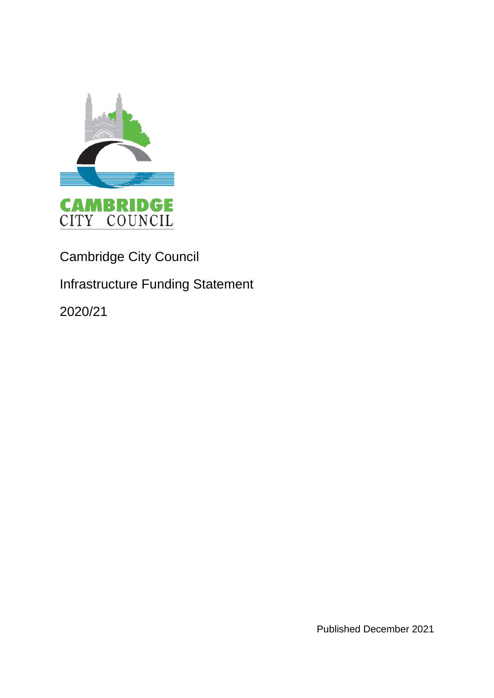

## Cambridge City Council

## Infrastructure Funding Statement

2020/21

Published December 2021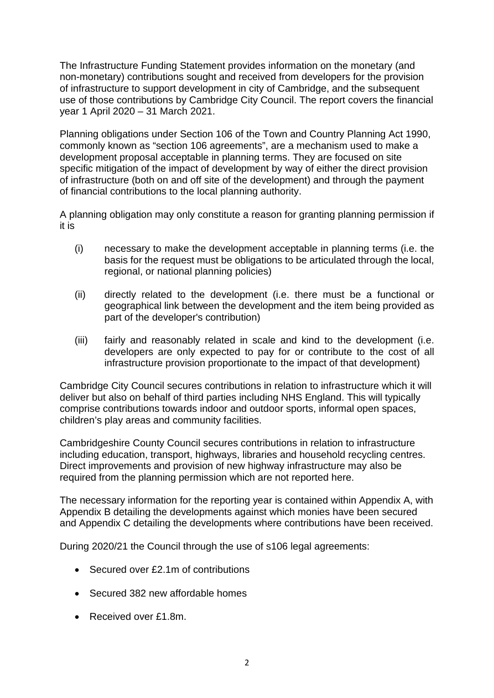The Infrastructure Funding Statement provides information on the monetary (and non-monetary) contributions sought and received from developers for the provision of infrastructure to support development in city of Cambridge, and the subsequent use of those contributions by Cambridge City Council. The report covers the financial year 1 April 2020 – 31 March 2021.

Planning obligations under Section 106 of the Town and Country Planning Act 1990, commonly known as "section 106 agreements", are a mechanism used to make a development proposal acceptable in planning terms. They are focused on site specific mitigation of the impact of development by way of either the direct provision of infrastructure (both on and off site of the development) and through the payment of financial contributions to the local planning authority.

A planning obligation may only constitute a reason for granting planning permission if it is

- (i) necessary to make the development acceptable in planning terms (i.e. the basis for the request must be obligations to be articulated through the local, regional, or national planning policies)
- (ii) directly related to the development (i.e. there must be a functional or geographical link between the development and the item being provided as part of the developer's contribution)
- (iii) fairly and reasonably related in scale and kind to the development (i.e. developers are only expected to pay for or contribute to the cost of all infrastructure provision proportionate to the impact of that development)

Cambridge City Council secures contributions in relation to infrastructure which it will deliver but also on behalf of third parties including NHS England. This will typically comprise contributions towards indoor and outdoor sports, informal open spaces, children's play areas and community facilities.

Cambridgeshire County Council secures contributions in relation to infrastructure including education, transport, highways, libraries and household recycling centres. Direct improvements and provision of new highway infrastructure may also be required from the planning permission which are not reported here.

The necessary information for the reporting year is contained within Appendix A, with Appendix B detailing the developments against which monies have been secured and Appendix C detailing the developments where contributions have been received.

During 2020/21 the Council through the use of s106 legal agreements:

- Secured over £2.1m of contributions
- Secured 382 new affordable homes
- Received over £1.8m.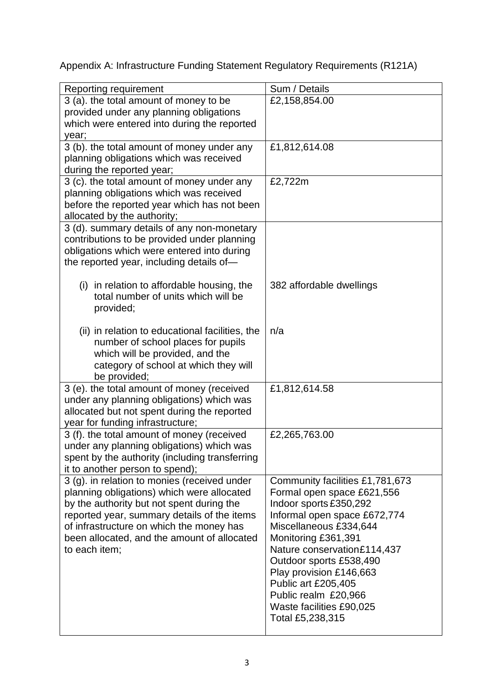Appendix A: Infrastructure Funding Statement Regulatory Requirements (R121A)

| Reporting requirement                           | Sum / Details                   |
|-------------------------------------------------|---------------------------------|
| 3 (a). the total amount of money to be          | £2,158,854.00                   |
| provided under any planning obligations         |                                 |
|                                                 |                                 |
| which were entered into during the reported     |                                 |
| year;                                           |                                 |
| 3 (b). the total amount of money under any      | £1,812,614.08                   |
| planning obligations which was received         |                                 |
| during the reported year;                       |                                 |
| 3 (c). the total amount of money under any      | £2,722m                         |
| planning obligations which was received         |                                 |
| before the reported year which has not been     |                                 |
| allocated by the authority;                     |                                 |
| 3 (d). summary details of any non-monetary      |                                 |
| contributions to be provided under planning     |                                 |
| obligations which were entered into during      |                                 |
| the reported year, including details of-        |                                 |
|                                                 |                                 |
| (i) in relation to affordable housing, the      | 382 affordable dwellings        |
| total number of units which will be             |                                 |
| provided;                                       |                                 |
|                                                 |                                 |
| (ii) in relation to educational facilities, the | n/a                             |
| number of school places for pupils              |                                 |
| which will be provided, and the                 |                                 |
| category of school at which they will           |                                 |
| be provided;                                    |                                 |
| 3 (e). the total amount of money (received      | £1,812,614.58                   |
| under any planning obligations) which was       |                                 |
| allocated but not spent during the reported     |                                 |
| year for funding infrastructure;                |                                 |
| 3 (f). the total amount of money (received      | £2,265,763.00                   |
| under any planning obligations) which was       |                                 |
| spent by the authority (including transferring  |                                 |
| it to another person to spend);                 |                                 |
| 3 (g). in relation to monies (received under    | Community facilities £1,781,673 |
| planning obligations) which were allocated      | Formal open space £621,556      |
|                                                 | Indoor sports £350,292          |
| by the authority but not spent during the       | Informal open space £672,774    |
| reported year, summary details of the items     |                                 |
| of infrastructure on which the money has        | Miscellaneous £334,644          |
| been allocated, and the amount of allocated     | Monitoring £361,391             |
| to each item;                                   | Nature conservation£114,437     |
|                                                 | Outdoor sports £538,490         |
|                                                 | Play provision £146,663         |
|                                                 | Public art £205,405             |
|                                                 | Public realm £20,966            |
|                                                 | Waste facilities £90,025        |
|                                                 | Total £5,238,315                |
|                                                 |                                 |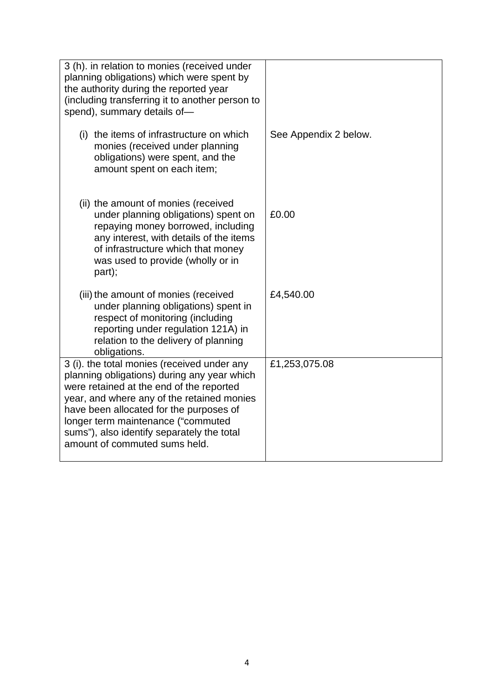| 3 (h). in relation to monies (received under<br>planning obligations) which were spent by<br>the authority during the reported year<br>(including transferring it to another person to<br>spend), summary details of-                                                                                                                                |                       |
|------------------------------------------------------------------------------------------------------------------------------------------------------------------------------------------------------------------------------------------------------------------------------------------------------------------------------------------------------|-----------------------|
| (i) the items of infrastructure on which<br>monies (received under planning<br>obligations) were spent, and the<br>amount spent on each item;                                                                                                                                                                                                        | See Appendix 2 below. |
| (ii) the amount of monies (received<br>under planning obligations) spent on<br>repaying money borrowed, including<br>any interest, with details of the items<br>of infrastructure which that money<br>was used to provide (wholly or in<br>part);                                                                                                    | £0.00                 |
| (iii) the amount of monies (received<br>under planning obligations) spent in<br>respect of monitoring (including<br>reporting under regulation 121A) in<br>relation to the delivery of planning<br>obligations.                                                                                                                                      | £4,540.00             |
| 3 (i). the total monies (received under any<br>planning obligations) during any year which<br>were retained at the end of the reported<br>year, and where any of the retained monies<br>have been allocated for the purposes of<br>longer term maintenance ("commuted<br>sums"), also identify separately the total<br>amount of commuted sums held. | £1,253,075.08         |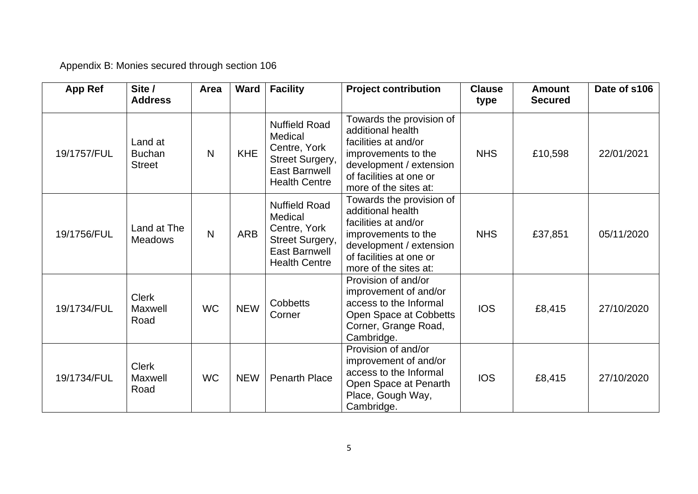Appendix B: Monies secured through section 106

| <b>App Ref</b> | Site /<br><b>Address</b>                  | Area         | Ward       | <b>Facility</b>                                                                                                    | <b>Project contribution</b>                                                                                                                                                 | <b>Clause</b><br>type | <b>Amount</b><br><b>Secured</b> | Date of s106 |
|----------------|-------------------------------------------|--------------|------------|--------------------------------------------------------------------------------------------------------------------|-----------------------------------------------------------------------------------------------------------------------------------------------------------------------------|-----------------------|---------------------------------|--------------|
| 19/1757/FUL    | Land at<br><b>Buchan</b><br><b>Street</b> | $\mathsf{N}$ | <b>KHE</b> | <b>Nuffield Road</b><br>Medical<br>Centre, York<br>Street Surgery,<br><b>East Barnwell</b><br><b>Health Centre</b> | Towards the provision of<br>additional health<br>facilities at and/or<br>improvements to the<br>development / extension<br>of facilities at one or<br>more of the sites at: | <b>NHS</b>            | £10,598                         | 22/01/2021   |
| 19/1756/FUL    | Land at The<br><b>Meadows</b>             | $\mathsf{N}$ | <b>ARB</b> | <b>Nuffield Road</b><br>Medical<br>Centre, York<br>Street Surgery,<br><b>East Barnwell</b><br><b>Health Centre</b> | Towards the provision of<br>additional health<br>facilities at and/or<br>improvements to the<br>development / extension<br>of facilities at one or<br>more of the sites at: | <b>NHS</b>            | £37,851                         | 05/11/2020   |
| 19/1734/FUL    | <b>Clerk</b><br>Maxwell<br>Road           | <b>WC</b>    | <b>NEW</b> | <b>Cobbetts</b><br>Corner                                                                                          | Provision of and/or<br>improvement of and/or<br>access to the Informal<br>Open Space at Cobbetts<br>Corner, Grange Road,<br>Cambridge.                                      | <b>IOS</b>            | £8,415                          | 27/10/2020   |
| 19/1734/FUL    | <b>Clerk</b><br>Maxwell<br>Road           | <b>WC</b>    | <b>NEW</b> | <b>Penarth Place</b>                                                                                               | Provision of and/or<br>improvement of and/or<br>access to the Informal<br>Open Space at Penarth<br>Place, Gough Way,<br>Cambridge.                                          | <b>IOS</b>            | £8,415                          | 27/10/2020   |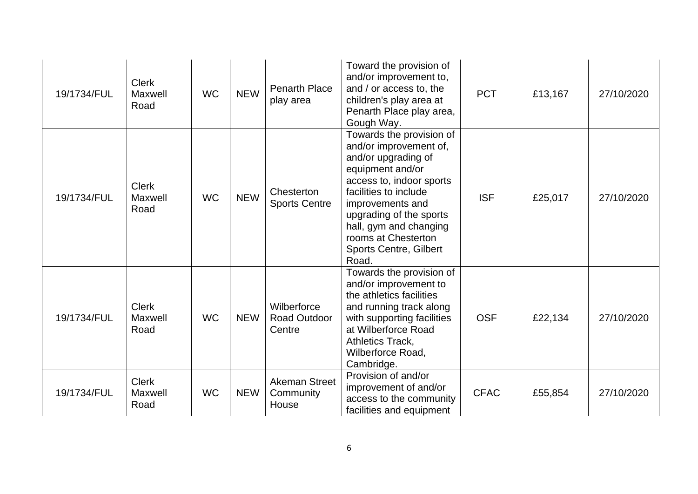| 19/1734/FUL | <b>Clerk</b><br>Maxwell<br>Road | <b>WC</b> | <b>NEW</b> | <b>Penarth Place</b><br>play area            | Toward the provision of<br>and/or improvement to,<br>and / or access to, the<br>children's play area at<br>Penarth Place play area,<br>Gough Way.                                                                                                                                            | <b>PCT</b>  | £13,167 | 27/10/2020 |
|-------------|---------------------------------|-----------|------------|----------------------------------------------|----------------------------------------------------------------------------------------------------------------------------------------------------------------------------------------------------------------------------------------------------------------------------------------------|-------------|---------|------------|
| 19/1734/FUL | <b>Clerk</b><br>Maxwell<br>Road | <b>WC</b> | <b>NEW</b> | Chesterton<br><b>Sports Centre</b>           | Towards the provision of<br>and/or improvement of,<br>and/or upgrading of<br>equipment and/or<br>access to, indoor sports<br>facilities to include<br>improvements and<br>upgrading of the sports<br>hall, gym and changing<br>rooms at Chesterton<br><b>Sports Centre, Gilbert</b><br>Road. | <b>ISF</b>  | £25,017 | 27/10/2020 |
| 19/1734/FUL | <b>Clerk</b><br>Maxwell<br>Road | <b>WC</b> | <b>NEW</b> | Wilberforce<br><b>Road Outdoor</b><br>Centre | Towards the provision of<br>and/or improvement to<br>the athletics facilities<br>and running track along<br>with supporting facilities<br>at Wilberforce Road<br>Athletics Track,<br>Wilberforce Road,<br>Cambridge.                                                                         | <b>OSF</b>  | £22,134 | 27/10/2020 |
| 19/1734/FUL | <b>Clerk</b><br>Maxwell<br>Road | <b>WC</b> | <b>NEW</b> | Akeman Street<br>Community<br>House          | Provision of and/or<br>improvement of and/or<br>access to the community<br>facilities and equipment                                                                                                                                                                                          | <b>CFAC</b> | £55,854 | 27/10/2020 |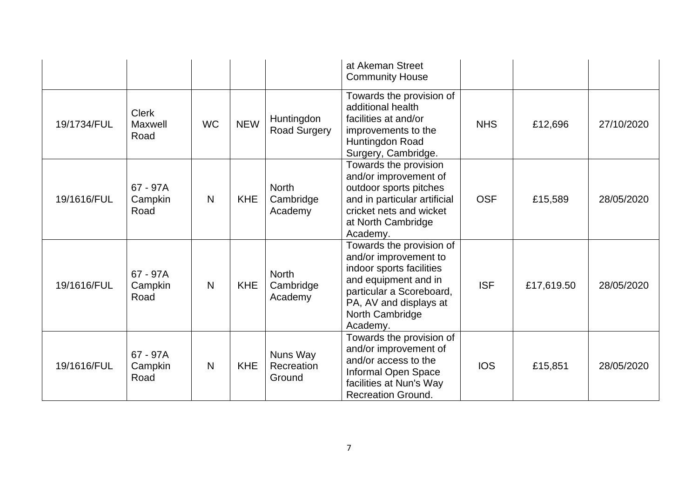|             |                                 |           |            |                                      | at Akeman Street<br><b>Community House</b>                                                                                                                                                 |            |            |            |
|-------------|---------------------------------|-----------|------------|--------------------------------------|--------------------------------------------------------------------------------------------------------------------------------------------------------------------------------------------|------------|------------|------------|
| 19/1734/FUL | <b>Clerk</b><br>Maxwell<br>Road | <b>WC</b> | <b>NEW</b> | Huntingdon<br><b>Road Surgery</b>    | Towards the provision of<br>additional health<br>facilities at and/or<br>improvements to the<br>Huntingdon Road<br>Surgery, Cambridge.                                                     | <b>NHS</b> | £12,696    | 27/10/2020 |
| 19/1616/FUL | 67 - 97A<br>Campkin<br>Road     | N         | <b>KHE</b> | <b>North</b><br>Cambridge<br>Academy | Towards the provision<br>and/or improvement of<br>outdoor sports pitches<br>and in particular artificial<br>cricket nets and wicket<br>at North Cambridge<br>Academy.                      | <b>OSF</b> | £15,589    | 28/05/2020 |
| 19/1616/FUL | 67 - 97A<br>Campkin<br>Road     | N         | <b>KHE</b> | North<br>Cambridge<br>Academy        | Towards the provision of<br>and/or improvement to<br>indoor sports facilities<br>and equipment and in<br>particular a Scoreboard,<br>PA, AV and displays at<br>North Cambridge<br>Academy. | <b>ISF</b> | £17,619.50 | 28/05/2020 |
| 19/1616/FUL | 67 - 97A<br>Campkin<br>Road     | N         | <b>KHE</b> | Nuns Way<br>Recreation<br>Ground     | Towards the provision of<br>and/or improvement of<br>and/or access to the<br>Informal Open Space<br>facilities at Nun's Way<br><b>Recreation Ground.</b>                                   | <b>IOS</b> | £15,851    | 28/05/2020 |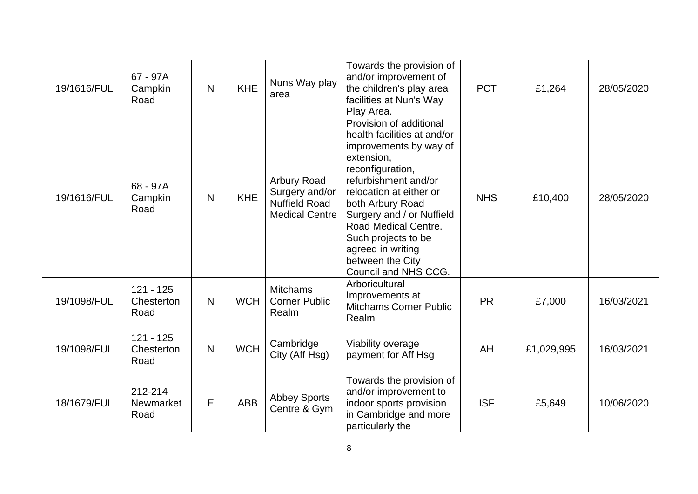| 19/1616/FUL | 67 - 97A<br>Campkin<br>Road         | N | <b>KHE</b> | Nuns Way play<br>area                                                          | Towards the provision of<br>and/or improvement of<br>the children's play area<br>facilities at Nun's Way<br>Play Area.                                                                                                                                                                                                                 | <b>PCT</b> | £1,264     | 28/05/2020 |
|-------------|-------------------------------------|---|------------|--------------------------------------------------------------------------------|----------------------------------------------------------------------------------------------------------------------------------------------------------------------------------------------------------------------------------------------------------------------------------------------------------------------------------------|------------|------------|------------|
| 19/1616/FUL | 68 - 97A<br>Campkin<br>Road         | N | <b>KHE</b> | Arbury Road<br>Surgery and/or<br><b>Nuffield Road</b><br><b>Medical Centre</b> | Provision of additional<br>health facilities at and/or<br>improvements by way of<br>extension,<br>reconfiguration,<br>refurbishment and/or<br>relocation at either or<br>both Arbury Road<br>Surgery and / or Nuffield<br>Road Medical Centre.<br>Such projects to be<br>agreed in writing<br>between the City<br>Council and NHS CCG. | <b>NHS</b> | £10,400    | 28/05/2020 |
| 19/1098/FUL | $121 - 125$<br>Chesterton<br>Road   | N | <b>WCH</b> | <b>Mitchams</b><br><b>Corner Public</b><br>Realm                               | Arboricultural<br>Improvements at<br><b>Mitchams Corner Public</b><br>Realm                                                                                                                                                                                                                                                            | <b>PR</b>  | £7,000     | 16/03/2021 |
| 19/1098/FUL | $121 - 125$<br>Chesterton<br>Road   | N | <b>WCH</b> | Cambridge<br>City (Aff Hsg)                                                    | Viability overage<br>payment for Aff Hsg                                                                                                                                                                                                                                                                                               | AH         | £1,029,995 | 16/03/2021 |
| 18/1679/FUL | 212-214<br><b>Newmarket</b><br>Road | E | <b>ABB</b> | <b>Abbey Sports</b><br>Centre & Gym                                            | Towards the provision of<br>and/or improvement to<br>indoor sports provision<br>in Cambridge and more<br>particularly the                                                                                                                                                                                                              | <b>ISF</b> | £5,649     | 10/06/2020 |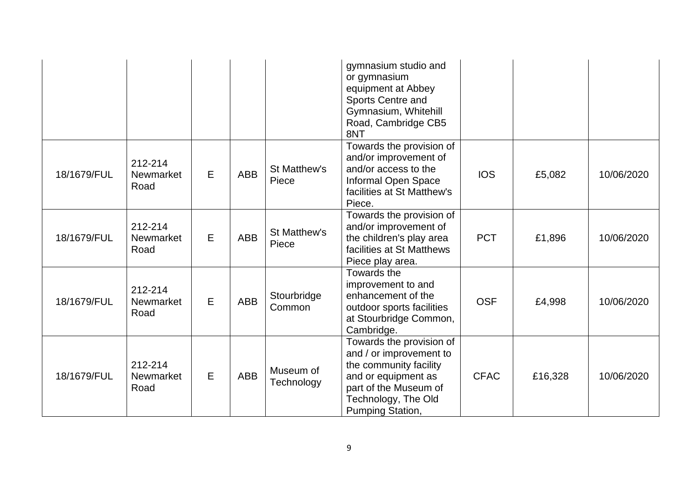|             |                                     |   |            |                         | gymnasium studio and<br>or gymnasium<br>equipment at Abbey<br>Sports Centre and<br>Gymnasium, Whitehill<br>Road, Cambridge CB5<br>8NT                                    |             |         |            |
|-------------|-------------------------------------|---|------------|-------------------------|--------------------------------------------------------------------------------------------------------------------------------------------------------------------------|-------------|---------|------------|
| 18/1679/FUL | 212-214<br><b>Newmarket</b><br>Road | E | <b>ABB</b> | St Matthew's<br>Piece   | Towards the provision of<br>and/or improvement of<br>and/or access to the<br>Informal Open Space<br>facilities at St Matthew's<br>Piece.                                 | <b>IOS</b>  | £5,082  | 10/06/2020 |
| 18/1679/FUL | 212-214<br>Newmarket<br>Road        | E | <b>ABB</b> | St Matthew's<br>Piece   | Towards the provision of<br>and/or improvement of<br>the children's play area<br>facilities at St Matthews<br>Piece play area.                                           | <b>PCT</b>  | £1,896  | 10/06/2020 |
| 18/1679/FUL | 212-214<br><b>Newmarket</b><br>Road | E | <b>ABB</b> | Stourbridge<br>Common   | Towards the<br>improvement to and<br>enhancement of the<br>outdoor sports facilities<br>at Stourbridge Common,<br>Cambridge.                                             | <b>OSF</b>  | £4,998  | 10/06/2020 |
| 18/1679/FUL | 212-214<br>Newmarket<br>Road        | E | <b>ABB</b> | Museum of<br>Technology | Towards the provision of<br>and / or improvement to<br>the community facility<br>and or equipment as<br>part of the Museum of<br>Technology, The Old<br>Pumping Station, | <b>CFAC</b> | £16,328 | 10/06/2020 |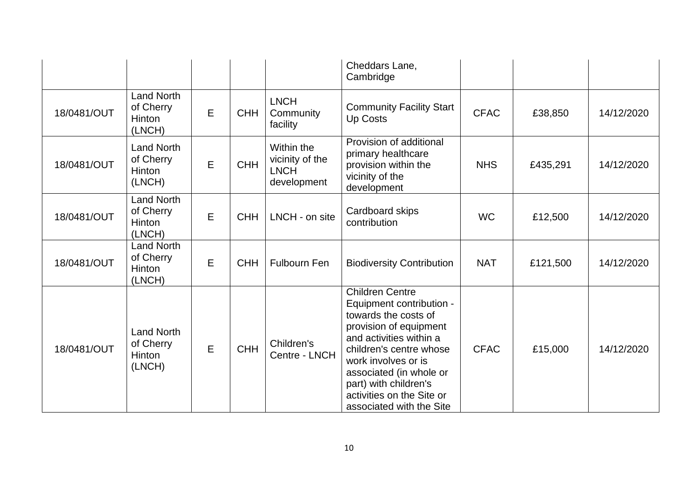|             |                                                           |             |            |                                                             | Cheddars Lane,<br>Cambridge                                                                                                                                                                                                                                                                    |             |          |            |
|-------------|-----------------------------------------------------------|-------------|------------|-------------------------------------------------------------|------------------------------------------------------------------------------------------------------------------------------------------------------------------------------------------------------------------------------------------------------------------------------------------------|-------------|----------|------------|
| 18/0481/OUT | <b>Land North</b><br>of Cherry<br>Hinton<br>(LNCH)        | $\mathsf E$ | <b>CHH</b> | <b>LNCH</b><br>Community<br>facility                        | <b>Community Facility Start</b><br><b>Up Costs</b>                                                                                                                                                                                                                                             | <b>CFAC</b> | £38,850  | 14/12/2020 |
| 18/0481/OUT | <b>Land North</b><br>of Cherry<br><b>Hinton</b><br>(LNCH) | Е           | <b>CHH</b> | Within the<br>vicinity of the<br><b>LNCH</b><br>development | Provision of additional<br>primary healthcare<br>provision within the<br>vicinity of the<br>development                                                                                                                                                                                        | <b>NHS</b>  | £435,291 | 14/12/2020 |
| 18/0481/OUT | <b>Land North</b><br>of Cherry<br>Hinton<br>(LNCH)        | E           | <b>CHH</b> | LNCH - on site                                              | Cardboard skips<br>contribution                                                                                                                                                                                                                                                                | <b>WC</b>   | £12,500  | 14/12/2020 |
| 18/0481/OUT | <b>Land North</b><br>of Cherry<br><b>Hinton</b><br>(LNCH) | E           | <b>CHH</b> | <b>Fulbourn Fen</b>                                         | <b>Biodiversity Contribution</b>                                                                                                                                                                                                                                                               | <b>NAT</b>  | £121,500 | 14/12/2020 |
| 18/0481/OUT | <b>Land North</b><br>of Cherry<br><b>Hinton</b><br>(LNCH) | E           | <b>CHH</b> | Children's<br>Centre - LNCH                                 | <b>Children Centre</b><br>Equipment contribution -<br>towards the costs of<br>provision of equipment<br>and activities within a<br>children's centre whose<br>work involves or is<br>associated (in whole or<br>part) with children's<br>activities on the Site or<br>associated with the Site | <b>CFAC</b> | £15,000  | 14/12/2020 |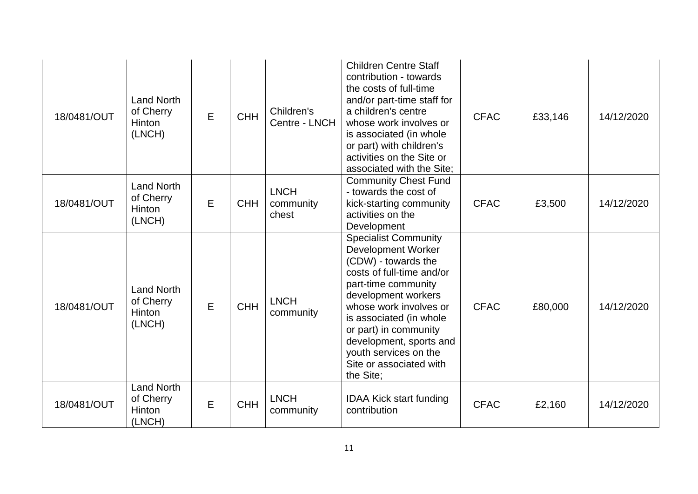| 18/0481/OUT | <b>Land North</b><br>of Cherry<br><b>Hinton</b><br>(LNCH) | E | <b>CHH</b> | Children's<br>Centre - LNCH       | <b>Children Centre Staff</b><br>contribution - towards<br>the costs of full-time<br>and/or part-time staff for<br>a children's centre<br>whose work involves or<br>is associated (in whole<br>or part) with children's<br>activities on the Site or<br>associated with the Site:                                                     | <b>CFAC</b> | £33,146 | 14/12/2020 |
|-------------|-----------------------------------------------------------|---|------------|-----------------------------------|--------------------------------------------------------------------------------------------------------------------------------------------------------------------------------------------------------------------------------------------------------------------------------------------------------------------------------------|-------------|---------|------------|
| 18/0481/OUT | <b>Land North</b><br>of Cherry<br>Hinton<br>(LNCH)        | E | <b>CHH</b> | <b>LNCH</b><br>community<br>chest | <b>Community Chest Fund</b><br>- towards the cost of<br>kick-starting community<br>activities on the<br>Development                                                                                                                                                                                                                  | <b>CFAC</b> | £3,500  | 14/12/2020 |
| 18/0481/OUT | <b>Land North</b><br>of Cherry<br><b>Hinton</b><br>(LNCH) | E | <b>CHH</b> | <b>LNCH</b><br>community          | <b>Specialist Community</b><br><b>Development Worker</b><br>(CDW) - towards the<br>costs of full-time and/or<br>part-time community<br>development workers<br>whose work involves or<br>is associated (in whole<br>or part) in community<br>development, sports and<br>youth services on the<br>Site or associated with<br>the Site; | <b>CFAC</b> | £80,000 | 14/12/2020 |
| 18/0481/OUT | <b>Land North</b><br>of Cherry<br>Hinton<br>(LNCH)        | E | <b>CHH</b> | <b>LNCH</b><br>community          | <b>IDAA Kick start funding</b><br>contribution                                                                                                                                                                                                                                                                                       | <b>CFAC</b> | £2,160  | 14/12/2020 |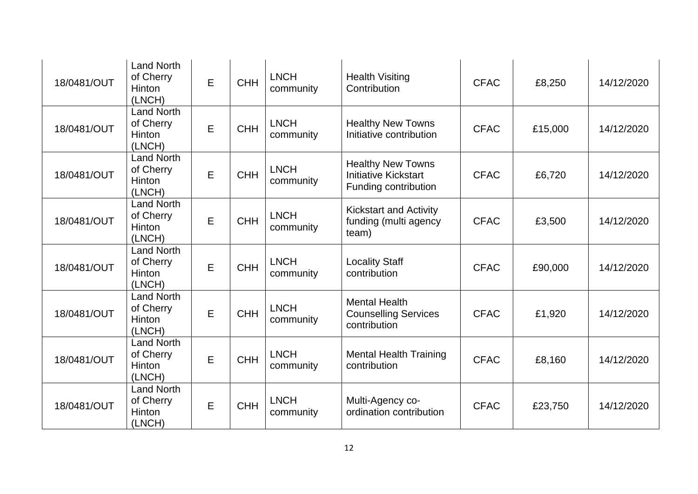| 18/0481/OUT | <b>Land North</b><br>of Cherry<br>Hinton<br>(LNCH) | E           | <b>CHH</b> | <b>LNCH</b><br>community | <b>Health Visiting</b><br>Contribution                                          | <b>CFAC</b> | £8,250  | 14/12/2020 |
|-------------|----------------------------------------------------|-------------|------------|--------------------------|---------------------------------------------------------------------------------|-------------|---------|------------|
| 18/0481/OUT | <b>Land North</b><br>of Cherry<br>Hinton<br>(LNCH) | E           | <b>CHH</b> | <b>LNCH</b><br>community | <b>Healthy New Towns</b><br>Initiative contribution                             | <b>CFAC</b> | £15,000 | 14/12/2020 |
| 18/0481/OUT | <b>Land North</b><br>of Cherry<br>Hinton<br>(LNCH) | E           | <b>CHH</b> | <b>LNCH</b><br>community | <b>Healthy New Towns</b><br><b>Initiative Kickstart</b><br>Funding contribution | <b>CFAC</b> | £6,720  | 14/12/2020 |
| 18/0481/OUT | <b>Land North</b><br>of Cherry<br>Hinton<br>(LNCH) | E           | <b>CHH</b> | <b>LNCH</b><br>community | <b>Kickstart and Activity</b><br>funding (multi agency<br>team)                 | <b>CFAC</b> | £3,500  | 14/12/2020 |
| 18/0481/OUT | <b>Land North</b><br>of Cherry<br>Hinton<br>(LNCH) | E           | <b>CHH</b> | <b>LNCH</b><br>community | <b>Locality Staff</b><br>contribution                                           | <b>CFAC</b> | £90,000 | 14/12/2020 |
| 18/0481/OUT | <b>Land North</b><br>of Cherry<br>Hinton<br>(LNCH) | E           | <b>CHH</b> | <b>LNCH</b><br>community | <b>Mental Health</b><br><b>Counselling Services</b><br>contribution             | <b>CFAC</b> | £1,920  | 14/12/2020 |
| 18/0481/OUT | <b>Land North</b><br>of Cherry<br>Hinton<br>(LNCH) | E           | <b>CHH</b> | <b>LNCH</b><br>community | <b>Mental Health Training</b><br>contribution                                   | <b>CFAC</b> | £8,160  | 14/12/2020 |
| 18/0481/OUT | <b>Land North</b><br>of Cherry<br>Hinton<br>(LNCH) | $\mathsf E$ | <b>CHH</b> | <b>LNCH</b><br>community | Multi-Agency co-<br>ordination contribution                                     | <b>CFAC</b> | £23,750 | 14/12/2020 |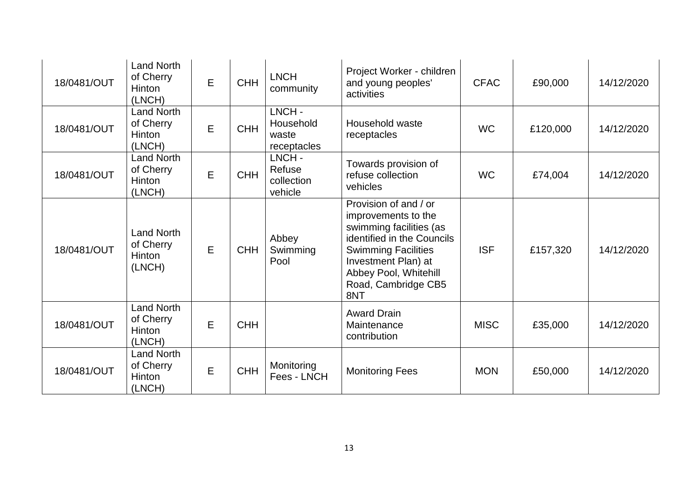| 18/0481/OUT | <b>Land North</b><br>of Cherry<br>Hinton<br>(LNCH)        | $\mathsf E$ | <b>CHH</b> | <b>LNCH</b><br>community                   | Project Worker - children<br>and young peoples'<br>activities                                                                                                                                                     | <b>CFAC</b> | £90,000  | 14/12/2020 |
|-------------|-----------------------------------------------------------|-------------|------------|--------------------------------------------|-------------------------------------------------------------------------------------------------------------------------------------------------------------------------------------------------------------------|-------------|----------|------------|
| 18/0481/OUT | <b>Land North</b><br>of Cherry<br>Hinton<br>(LNCH)        | E           | <b>CHH</b> | LNCH-<br>Household<br>waste<br>receptacles | Household waste<br>receptacles                                                                                                                                                                                    | <b>WC</b>   | £120,000 | 14/12/2020 |
| 18/0481/OUT | <b>Land North</b><br>of Cherry<br><b>Hinton</b><br>(LNCH) | E           | <b>CHH</b> | LNCH-<br>Refuse<br>collection<br>vehicle   | Towards provision of<br>refuse collection<br>vehicles                                                                                                                                                             | <b>WC</b>   | £74,004  | 14/12/2020 |
| 18/0481/OUT | <b>Land North</b><br>of Cherry<br><b>Hinton</b><br>(LNCH) | E           | <b>CHH</b> | Abbey<br>Swimming<br>Pool                  | Provision of and / or<br>improvements to the<br>swimming facilities (as<br>identified in the Councils<br><b>Swimming Facilities</b><br>Investment Plan) at<br>Abbey Pool, Whitehill<br>Road, Cambridge CB5<br>8NT | <b>ISF</b>  | £157,320 | 14/12/2020 |
| 18/0481/OUT | <b>Land North</b><br>of Cherry<br>Hinton<br>(LNCH)        | E           | <b>CHH</b> |                                            | <b>Award Drain</b><br>Maintenance<br>contribution                                                                                                                                                                 | <b>MISC</b> | £35,000  | 14/12/2020 |
| 18/0481/OUT | <b>Land North</b><br>of Cherry<br>Hinton<br>(LNCH)        | E           | <b>CHH</b> | Monitoring<br>Fees - LNCH                  | <b>Monitoring Fees</b>                                                                                                                                                                                            | <b>MON</b>  | £50,000  | 14/12/2020 |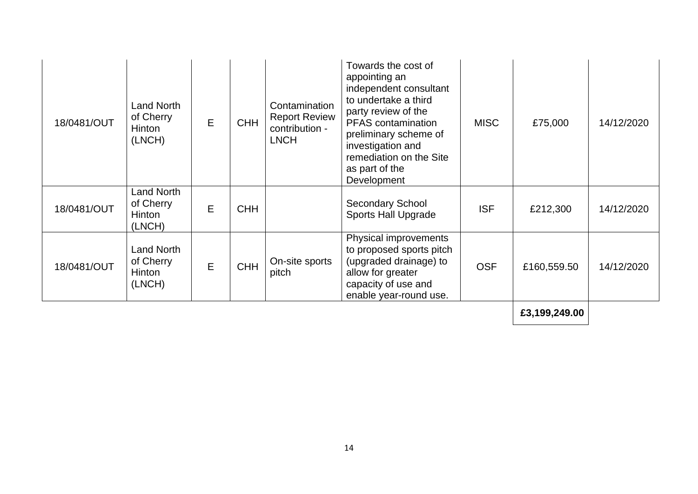| 18/0481/OUT | Land North<br>of Cherry<br>Hinton<br>(LNCH)        | E | <b>CHH</b> | Contamination<br><b>Report Review</b><br>contribution -<br><b>LNCH</b> | Towards the cost of<br>appointing an<br>independent consultant<br>to undertake a third<br>party review of the<br><b>PFAS</b> contamination<br>preliminary scheme of<br>investigation and<br>remediation on the Site<br>as part of the<br>Development | <b>MISC</b> | £75,000       | 14/12/2020 |
|-------------|----------------------------------------------------|---|------------|------------------------------------------------------------------------|------------------------------------------------------------------------------------------------------------------------------------------------------------------------------------------------------------------------------------------------------|-------------|---------------|------------|
| 18/0481/OUT | <b>Land North</b><br>of Cherry<br>Hinton<br>(LNCH) | E | <b>CHH</b> |                                                                        | <b>Secondary School</b><br><b>Sports Hall Upgrade</b>                                                                                                                                                                                                | <b>ISF</b>  | £212,300      | 14/12/2020 |
| 18/0481/OUT | <b>Land North</b><br>of Cherry<br>Hinton<br>(LNCH) | E | <b>CHH</b> | On-site sports<br>pitch                                                | Physical improvements<br>to proposed sports pitch<br>(upgraded drainage) to<br>allow for greater<br>capacity of use and<br>enable year-round use.                                                                                                    | <b>OSF</b>  | £160,559.50   | 14/12/2020 |
|             |                                                    |   |            |                                                                        |                                                                                                                                                                                                                                                      |             | £3,199,249.00 |            |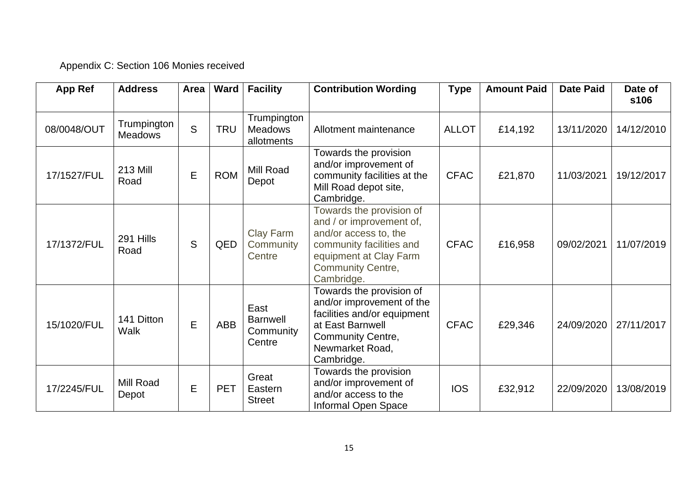## Appendix C: Section 106 Monies received

| App Ref     | <b>Address</b>                | Area        | Ward       | <b>Facility</b>                                | <b>Contribution Wording</b>                                                                                                                                                   | <b>Type</b>  | <b>Amount Paid</b> | <b>Date Paid</b> | Date of<br>s106 |
|-------------|-------------------------------|-------------|------------|------------------------------------------------|-------------------------------------------------------------------------------------------------------------------------------------------------------------------------------|--------------|--------------------|------------------|-----------------|
| 08/0048/OUT | Trumpington<br><b>Meadows</b> | S           | <b>TRU</b> | Trumpington<br><b>Meadows</b><br>allotments    | Allotment maintenance                                                                                                                                                         | <b>ALLOT</b> | £14,192            | 13/11/2020       | 14/12/2010      |
| 17/1527/FUL | <b>213 Mill</b><br>Road       | E           | <b>ROM</b> | Mill Road<br>Depot                             | Towards the provision<br>and/or improvement of<br>community facilities at the<br>Mill Road depot site,<br>Cambridge.                                                          | <b>CFAC</b>  | £21,870            | 11/03/2021       | 19/12/2017      |
| 17/1372/FUL | 291 Hills<br>Road             | S           | QED        | Clay Farm<br>Community<br>Centre               | Towards the provision of<br>and / or improvement of,<br>and/or access to, the<br>community facilities and<br>equipment at Clay Farm<br><b>Community Centre,</b><br>Cambridge. | <b>CFAC</b>  | £16,958            | 09/02/2021       | 11/07/2019      |
| 15/1020/FUL | 141 Ditton<br>Walk            | $\mathsf E$ | ABB        | East<br><b>Barnwell</b><br>Community<br>Centre | Towards the provision of<br>and/or improvement of the<br>facilities and/or equipment<br>at East Barnwell<br><b>Community Centre,</b><br>Newmarket Road,<br>Cambridge.         | <b>CFAC</b>  | £29,346            | 24/09/2020       | 27/11/2017      |
| 17/2245/FUL | <b>Mill Road</b><br>Depot     | E           | <b>PET</b> | Great<br>Eastern<br><b>Street</b>              | Towards the provision<br>and/or improvement of<br>and/or access to the<br>Informal Open Space                                                                                 | <b>IOS</b>   | £32,912            | 22/09/2020       | 13/08/2019      |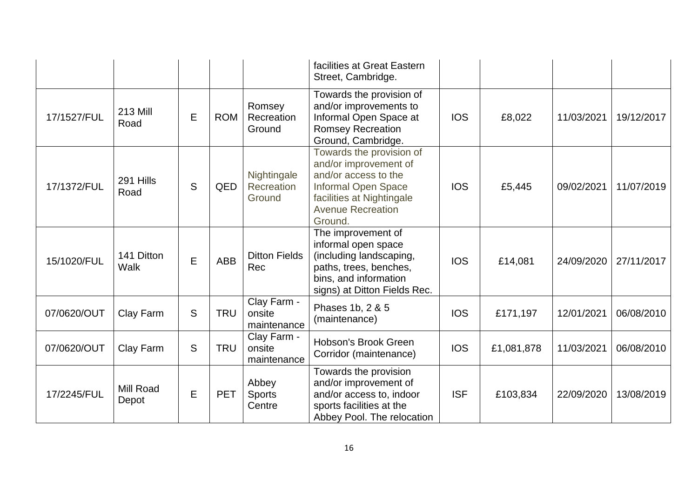|             |                           |   |            |                                      | facilities at Great Eastern<br>Street, Cambridge.                                                                                                                    |            |            |            |            |
|-------------|---------------------------|---|------------|--------------------------------------|----------------------------------------------------------------------------------------------------------------------------------------------------------------------|------------|------------|------------|------------|
| 17/1527/FUL | <b>213 Mill</b><br>Road   | E | <b>ROM</b> | Romsey<br>Recreation<br>Ground       | Towards the provision of<br>and/or improvements to<br>Informal Open Space at<br><b>Romsey Recreation</b><br>Ground, Cambridge.                                       | <b>IOS</b> | £8,022     | 11/03/2021 | 19/12/2017 |
| 17/1372/FUL | 291 Hills<br>Road         | S | QED        | Nightingale<br>Recreation<br>Ground  | Towards the provision of<br>and/or improvement of<br>and/or access to the<br>Informal Open Space<br>facilities at Nightingale<br><b>Avenue Recreation</b><br>Ground. | <b>IOS</b> | £5,445     | 09/02/2021 | 11/07/2019 |
| 15/1020/FUL | 141 Ditton<br>Walk        | E | <b>ABB</b> | <b>Ditton Fields</b><br>Rec          | The improvement of<br>informal open space<br>(including landscaping,<br>paths, trees, benches,<br>bins, and information<br>signs) at Ditton Fields Rec.              | <b>IOS</b> | £14,081    | 24/09/2020 | 27/11/2017 |
| 07/0620/OUT | Clay Farm                 | S | <b>TRU</b> | Clay Farm -<br>onsite<br>maintenance | Phases 1b, 2 & 5<br>(maintenance)                                                                                                                                    | <b>IOS</b> | £171,197   | 12/01/2021 | 06/08/2010 |
| 07/0620/OUT | Clay Farm                 | S | <b>TRU</b> | Clay Farm -<br>onsite<br>maintenance | Hobson's Brook Green<br>Corridor (maintenance)                                                                                                                       | <b>IOS</b> | £1,081,878 | 11/03/2021 | 06/08/2010 |
| 17/2245/FUL | <b>Mill Road</b><br>Depot | E | <b>PET</b> | Abbey<br><b>Sports</b><br>Centre     | Towards the provision<br>and/or improvement of<br>and/or access to, indoor<br>sports facilities at the<br>Abbey Pool. The relocation                                 | <b>ISF</b> | £103,834   | 22/09/2020 | 13/08/2019 |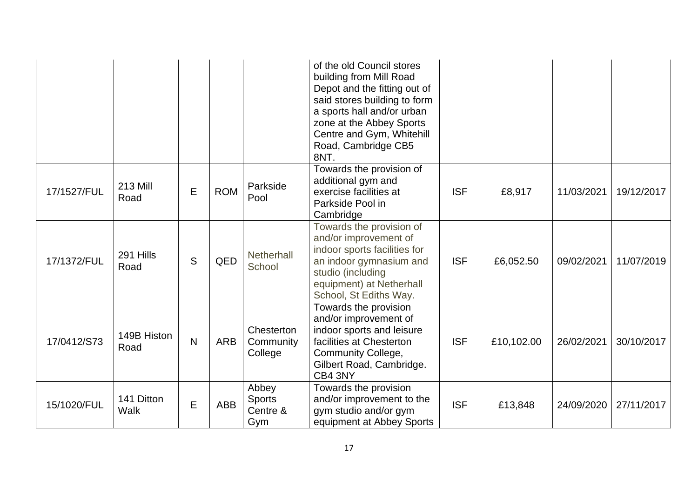|             |                           |              |            |                                           | of the old Council stores<br>building from Mill Road<br>Depot and the fitting out of<br>said stores building to form<br>a sports hall and/or urban<br>zone at the Abbey Sports<br>Centre and Gym, Whitehill<br>Road, Cambridge CB5<br>8NT. |            |            |            |            |
|-------------|---------------------------|--------------|------------|-------------------------------------------|--------------------------------------------------------------------------------------------------------------------------------------------------------------------------------------------------------------------------------------------|------------|------------|------------|------------|
| 17/1527/FUL | <b>213 Mill</b><br>Road   | E            | <b>ROM</b> | Parkside<br>Pool                          | Towards the provision of<br>additional gym and<br>exercise facilities at<br>Parkside Pool in<br>Cambridge                                                                                                                                  | <b>ISF</b> | £8,917     | 11/03/2021 | 19/12/2017 |
| 17/1372/FUL | 291 Hills<br>Road         | S            | QED        | Netherhall<br>School                      | Towards the provision of<br>and/or improvement of<br>indoor sports facilities for<br>an indoor gymnasium and<br>studio (including<br>equipment) at Netherhall<br>School, St Ediths Way.                                                    | <b>ISF</b> | £6,052.50  | 09/02/2021 | 11/07/2019 |
| 17/0412/S73 | 149B Histon<br>Road       | $\mathsf{N}$ | <b>ARB</b> | Chesterton<br>Community<br>College        | Towards the provision<br>and/or improvement of<br>indoor sports and leisure<br>facilities at Chesterton<br><b>Community College,</b><br>Gilbert Road, Cambridge.<br>CB4 3NY                                                                | <b>ISF</b> | £10,102.00 | 26/02/2021 | 30/10/2017 |
| 15/1020/FUL | 141 Ditton<br><b>Walk</b> | E            | <b>ABB</b> | Abbey<br><b>Sports</b><br>Centre &<br>Gym | Towards the provision<br>and/or improvement to the<br>gym studio and/or gym<br>equipment at Abbey Sports                                                                                                                                   | <b>ISF</b> | £13,848    | 24/09/2020 | 27/11/2017 |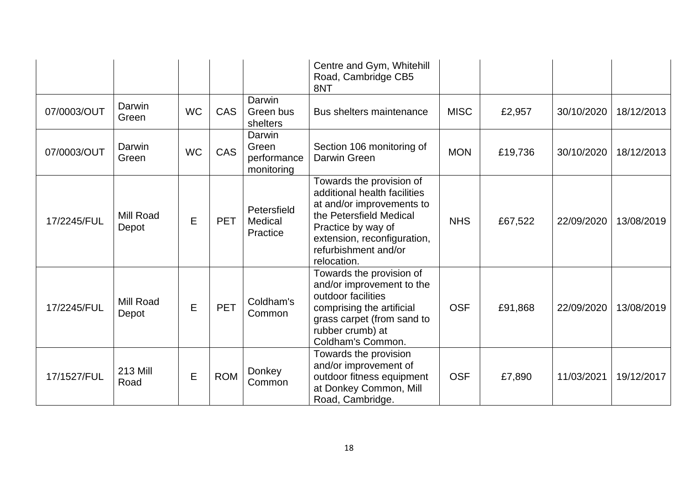|             |                         |           |            |                                              | Centre and Gym, Whitehill<br>Road, Cambridge CB5<br>8NT                                                                                                                                                      |             |         |            |            |
|-------------|-------------------------|-----------|------------|----------------------------------------------|--------------------------------------------------------------------------------------------------------------------------------------------------------------------------------------------------------------|-------------|---------|------------|------------|
| 07/0003/OUT | Darwin<br>Green         | <b>WC</b> | CAS        | Darwin<br>Green bus<br>shelters              | Bus shelters maintenance                                                                                                                                                                                     | <b>MISC</b> | £2,957  | 30/10/2020 | 18/12/2013 |
| 07/0003/OUT | Darwin<br>Green         | <b>WC</b> | CAS        | Darwin<br>Green<br>performance<br>monitoring | Section 106 monitoring of<br>Darwin Green                                                                                                                                                                    | <b>MON</b>  | £19,736 | 30/10/2020 | 18/12/2013 |
| 17/2245/FUL | Mill Road<br>Depot      | E         | <b>PET</b> | Petersfield<br>Medical<br>Practice           | Towards the provision of<br>additional health facilities<br>at and/or improvements to<br>the Petersfield Medical<br>Practice by way of<br>extension, reconfiguration,<br>refurbishment and/or<br>relocation. | <b>NHS</b>  | £67,522 | 22/09/2020 | 13/08/2019 |
| 17/2245/FUL | Mill Road<br>Depot      | E         | <b>PET</b> | Coldham's<br>Common                          | Towards the provision of<br>and/or improvement to the<br>outdoor facilities<br>comprising the artificial<br>grass carpet (from sand to<br>rubber crumb) at<br>Coldham's Common.                              | <b>OSF</b>  | £91,868 | 22/09/2020 | 13/08/2019 |
| 17/1527/FUL | <b>213 Mill</b><br>Road | E         | <b>ROM</b> | Donkey<br>Common                             | Towards the provision<br>and/or improvement of<br>outdoor fitness equipment<br>at Donkey Common, Mill<br>Road, Cambridge.                                                                                    | <b>OSF</b>  | £7,890  | 11/03/2021 | 19/12/2017 |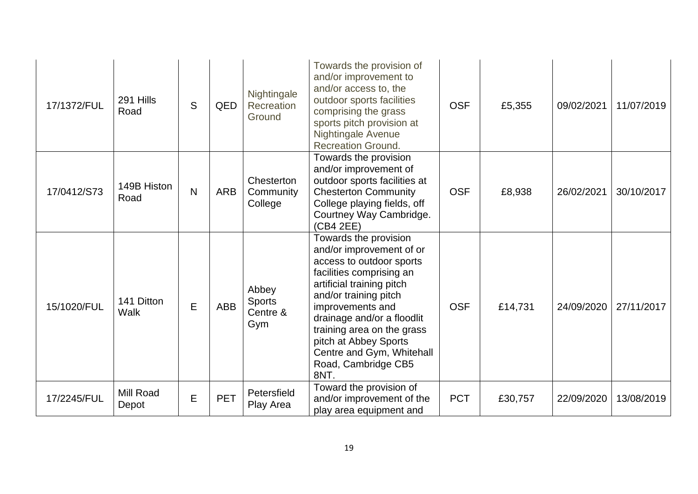| 17/1372/FUL | 291 Hills<br>Road         | S | QED        | Nightingale<br>Recreation<br>Ground       | Towards the provision of<br>and/or improvement to<br>and/or access to, the<br>outdoor sports facilities<br>comprising the grass<br>sports pitch provision at<br>Nightingale Avenue<br><b>Recreation Ground.</b>                                                                                                                      | <b>OSF</b> | £5,355  | 09/02/2021 | 11/07/2019 |
|-------------|---------------------------|---|------------|-------------------------------------------|--------------------------------------------------------------------------------------------------------------------------------------------------------------------------------------------------------------------------------------------------------------------------------------------------------------------------------------|------------|---------|------------|------------|
| 17/0412/S73 | 149B Histon<br>Road       | N | <b>ARB</b> | Chesterton<br>Community<br>College        | Towards the provision<br>and/or improvement of<br>outdoor sports facilities at<br><b>Chesterton Community</b><br>College playing fields, off<br>Courtney Way Cambridge.<br>(CB4 2EE)                                                                                                                                                 | <b>OSF</b> | £8,938  | 26/02/2021 | 30/10/2017 |
| 15/1020/FUL | 141 Ditton<br><b>Walk</b> | E | <b>ABB</b> | Abbey<br><b>Sports</b><br>Centre &<br>Gym | Towards the provision<br>and/or improvement of or<br>access to outdoor sports<br>facilities comprising an<br>artificial training pitch<br>and/or training pitch<br>improvements and<br>drainage and/or a floodlit<br>training area on the grass<br>pitch at Abbey Sports<br>Centre and Gym, Whitehall<br>Road, Cambridge CB5<br>8NT. | <b>OSF</b> | £14,731 | 24/09/2020 | 27/11/2017 |
| 17/2245/FUL | Mill Road<br>Depot        | E | <b>PET</b> | Petersfield<br>Play Area                  | Toward the provision of<br>and/or improvement of the<br>play area equipment and                                                                                                                                                                                                                                                      | <b>PCT</b> | £30,757 | 22/09/2020 | 13/08/2019 |